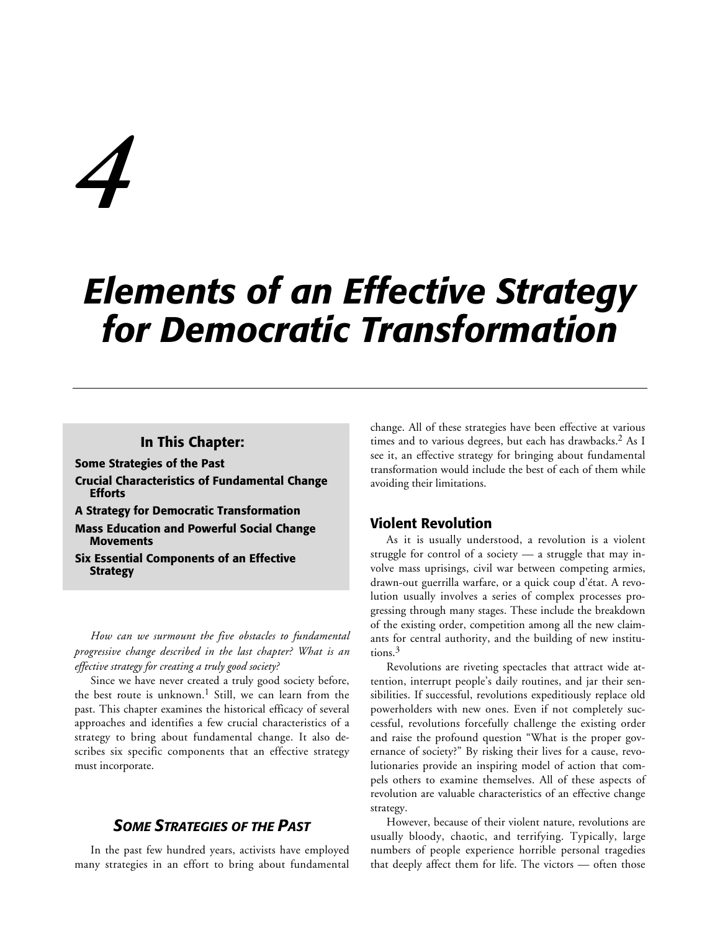# *4*

# *Elements of an Effective Strategy for Democratic Transformation*

# **In This Chapter:**

**Some Strategies of the Past**

- **Crucial Characteristics of Fundamental Change Efforts**
- **A Strategy for Democratic Transformation**

**Mass Education and Powerful Social Change Movements**

**Six Essential Components of an Effective Strategy**

*How can we surmount the five obstacles to fundamental progressive change described in the last chapter? What is an effective strategy for creating a truly good society?*

Since we have never created a truly good society before, the best route is unknown.<sup>1</sup> Still, we can learn from the past. This chapter examines the historical efficacy of several approaches and identifies a few crucial characteristics of a strategy to bring about fundamental change. It also describes six specific components that an effective strategy must incorporate.

# *SOME STRATEGIES OF THE PAST*

In the past few hundred years, activists have employed many strategies in an effort to bring about fundamental change. All of these strategies have been effective at various times and to various degrees, but each has drawbacks.<sup>2</sup> As I see it, an effective strategy for bringing about fundamental transformation would include the best of each of them while avoiding their limitations.

# **Violent Revolution**

As it is usually understood, a revolution is a violent struggle for control of a society — a struggle that may involve mass uprisings, civil war between competing armies, drawn-out guerrilla warfare, or a quick coup d'état. A revolution usually involves a series of complex processes progressing through many stages. These include the breakdown of the existing order, competition among all the new claimants for central authority, and the building of new institutions.3

Revolutions are riveting spectacles that attract wide attention, interrupt people's daily routines, and jar their sensibilities. If successful, revolutions expeditiously replace old powerholders with new ones. Even if not completely successful, revolutions forcefully challenge the existing order and raise the profound question "What is the proper governance of society?" By risking their lives for a cause, revolutionaries provide an inspiring model of action that compels others to examine themselves. All of these aspects of revolution are valuable characteristics of an effective change strategy.

However, because of their violent nature, revolutions are usually bloody, chaotic, and terrifying. Typically, large numbers of people experience horrible personal tragedies that deeply affect them for life. The victors — often those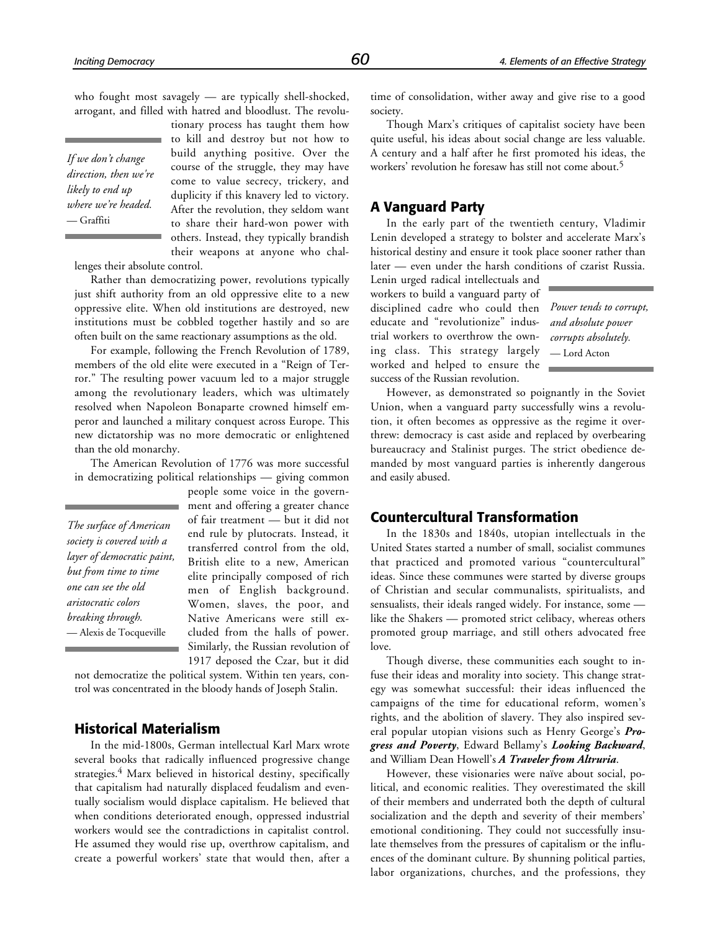who fought most savagely — are typically shell-shocked, arrogant, and filled with hatred and bloodlust. The revolu-

> tionary process has taught them how to kill and destroy but not how to build anything positive. Over the course of the struggle, they may have come to value secrecy, trickery, and duplicity if this knavery led to victory. After the revolution, they seldom want to share their hard-won power with others. Instead, they typically brandish

*If we don't change direction, then we're likely to end up where we're headed.* — Graffiti

their weapons at anyone who challenges their absolute control.

Rather than democratizing power, revolutions typically just shift authority from an old oppressive elite to a new oppressive elite. When old institutions are destroyed, new institutions must be cobbled together hastily and so are often built on the same reactionary assumptions as the old.

For example, following the French Revolution of 1789, members of the old elite were executed in a "Reign of Terror." The resulting power vacuum led to a major struggle among the revolutionary leaders, which was ultimately resolved when Napoleon Bonaparte crowned himself emperor and launched a military conquest across Europe. This new dictatorship was no more democratic or enlightened than the old monarchy.

The American Revolution of 1776 was more successful in democratizing political relationships — giving common

*The surface of American society is covered with a layer of democratic paint, but from time to time one can see the old aristocratic colors breaking through.* — Alexis de Tocqueville

people some voice in the government and offering a greater chance of fair treatment — but it did not end rule by plutocrats. Instead, it transferred control from the old, British elite to a new, American elite principally composed of rich men of English background. Women, slaves, the poor, and Native Americans were still excluded from the halls of power. Similarly, the Russian revolution of 1917 deposed the Czar, but it did

not democratize the political system. Within ten years, control was concentrated in the bloody hands of Joseph Stalin.

# **Historical Materialism**

In the mid-1800s, German intellectual Karl Marx wrote several books that radically influenced progressive change strategies.<sup>4</sup> Marx believed in historical destiny, specifically that capitalism had naturally displaced feudalism and eventually socialism would displace capitalism. He believed that when conditions deteriorated enough, oppressed industrial workers would see the contradictions in capitalist control. He assumed they would rise up, overthrow capitalism, and create a powerful workers' state that would then, after a time of consolidation, wither away and give rise to a good society.

Though Marx's critiques of capitalist society have been quite useful, his ideas about social change are less valuable. A century and a half after he first promoted his ideas, the workers' revolution he foresaw has still not come about.5

# **A Vanguard Party**

In the early part of the twentieth century, Vladimir Lenin developed a strategy to bolster and accelerate Marx's historical destiny and ensure it took place sooner rather than later — even under the harsh conditions of czarist Russia.

Lenin urged radical intellectuals and workers to build a vanguard party of disciplined cadre who could then *Power tends to corrupt,* educate and "revolutionize" industrial workers to overthrow the owning class. This strategy largely worked and helped to ensure the success of the Russian revolution.

*and absolute power corrupts absolutely.* — Lord Acton

However, as demonstrated so poignantly in the Soviet Union, when a vanguard party successfully wins a revolution, it often becomes as oppressive as the regime it overthrew: democracy is cast aside and replaced by overbearing bureaucracy and Stalinist purges. The strict obedience demanded by most vanguard parties is inherently dangerous and easily abused.

# **Countercultural Transformation**

In the 1830s and 1840s, utopian intellectuals in the United States started a number of small, socialist communes that practiced and promoted various "countercultural" ideas. Since these communes were started by diverse groups of Christian and secular communalists, spiritualists, and sensualists, their ideals ranged widely. For instance, some like the Shakers — promoted strict celibacy, whereas others promoted group marriage, and still others advocated free love.

Though diverse, these communities each sought to infuse their ideas and morality into society. This change strategy was somewhat successful: their ideas influenced the campaigns of the time for educational reform, women's rights, and the abolition of slavery. They also inspired several popular utopian visions such as Henry George's *Progress and Poverty*, Edward Bellamy's *Looking Backward*, and William Dean Howell's *A Traveler from Altruria*.

However, these visionaries were naïve about social, political, and economic realities. They overestimated the skill of their members and underrated both the depth of cultural socialization and the depth and severity of their members' emotional conditioning. They could not successfully insulate themselves from the pressures of capitalism or the influences of the dominant culture. By shunning political parties, labor organizations, churches, and the professions, they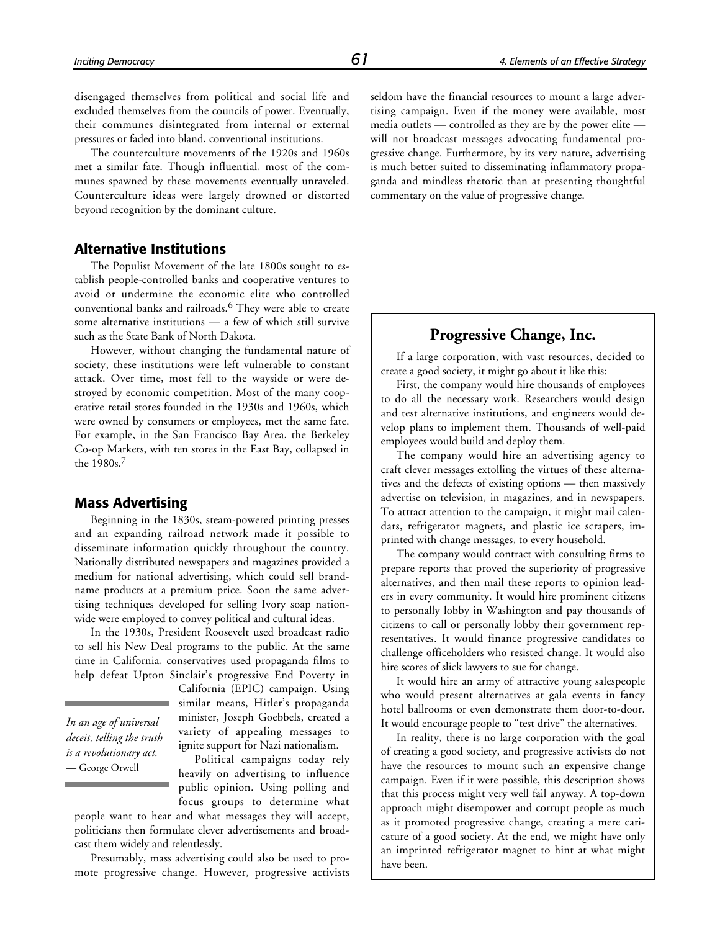disengaged themselves from political and social life and excluded themselves from the councils of power. Eventually, their communes disintegrated from internal or external pressures or faded into bland, conventional institutions.

The counterculture movements of the 1920s and 1960s met a similar fate. Though influential, most of the communes spawned by these movements eventually unraveled. Counterculture ideas were largely drowned or distorted beyond recognition by the dominant culture.

# **Alternative Institutions**

The Populist Movement of the late 1800s sought to establish people-controlled banks and cooperative ventures to avoid or undermine the economic elite who controlled conventional banks and railroads.6 They were able to create some alternative institutions — a few of which still survive such as the State Bank of North Dakota.

However, without changing the fundamental nature of society, these institutions were left vulnerable to constant attack. Over time, most fell to the wayside or were destroyed by economic competition. Most of the many cooperative retail stores founded in the 1930s and 1960s, which were owned by consumers or employees, met the same fate. For example, in the San Francisco Bay Area, the Berkeley Co-op Markets, with ten stores in the East Bay, collapsed in the 1980s.<sup>7</sup>

### **Mass Advertising**

Beginning in the 1830s, steam-powered printing presses and an expanding railroad network made it possible to disseminate information quickly throughout the country. Nationally distributed newspapers and magazines provided a medium for national advertising, which could sell brandname products at a premium price. Soon the same advertising techniques developed for selling Ivory soap nationwide were employed to convey political and cultural ideas.

In the 1930s, President Roosevelt used broadcast radio to sell his New Deal programs to the public. At the same time in California, conservatives used propaganda films to help defeat Upton Sinclair's progressive End Poverty in

*In an age of universal deceit, telling the truth is a revolutionary act.* — George Orwell

California (EPIC) campaign. Using similar means, Hitler's propaganda minister, Joseph Goebbels, created a variety of appealing messages to ignite support for Nazi nationalism.

Political campaigns today rely heavily on advertising to influence public opinion. Using polling and focus groups to determine what

people want to hear and what messages they will accept, politicians then formulate clever advertisements and broadcast them widely and relentlessly.

Presumably, mass advertising could also be used to promote progressive change. However, progressive activists seldom have the financial resources to mount a large advertising campaign. Even if the money were available, most media outlets — controlled as they are by the power elite will not broadcast messages advocating fundamental progressive change. Furthermore, by its very nature, advertising is much better suited to disseminating inflammatory propaganda and mindless rhetoric than at presenting thoughtful commentary on the value of progressive change.

# **Progressive Change, Inc.**

If a large corporation, with vast resources, decided to create a good society, it might go about it like this:

First, the company would hire thousands of employees to do all the necessary work. Researchers would design and test alternative institutions, and engineers would develop plans to implement them. Thousands of well-paid employees would build and deploy them.

The company would hire an advertising agency to craft clever messages extolling the virtues of these alternatives and the defects of existing options — then massively advertise on television, in magazines, and in newspapers. To attract attention to the campaign, it might mail calendars, refrigerator magnets, and plastic ice scrapers, imprinted with change messages, to every household.

The company would contract with consulting firms to prepare reports that proved the superiority of progressive alternatives, and then mail these reports to opinion leaders in every community. It would hire prominent citizens to personally lobby in Washington and pay thousands of citizens to call or personally lobby their government representatives. It would finance progressive candidates to challenge officeholders who resisted change. It would also hire scores of slick lawyers to sue for change.

It would hire an army of attractive young salespeople who would present alternatives at gala events in fancy hotel ballrooms or even demonstrate them door-to-door. It would encourage people to "test drive" the alternatives.

In reality, there is no large corporation with the goal of creating a good society, and progressive activists do not have the resources to mount such an expensive change campaign. Even if it were possible, this description shows that this process might very well fail anyway. A top-down approach might disempower and corrupt people as much as it promoted progressive change, creating a mere caricature of a good society. At the end, we might have only an imprinted refrigerator magnet to hint at what might have been.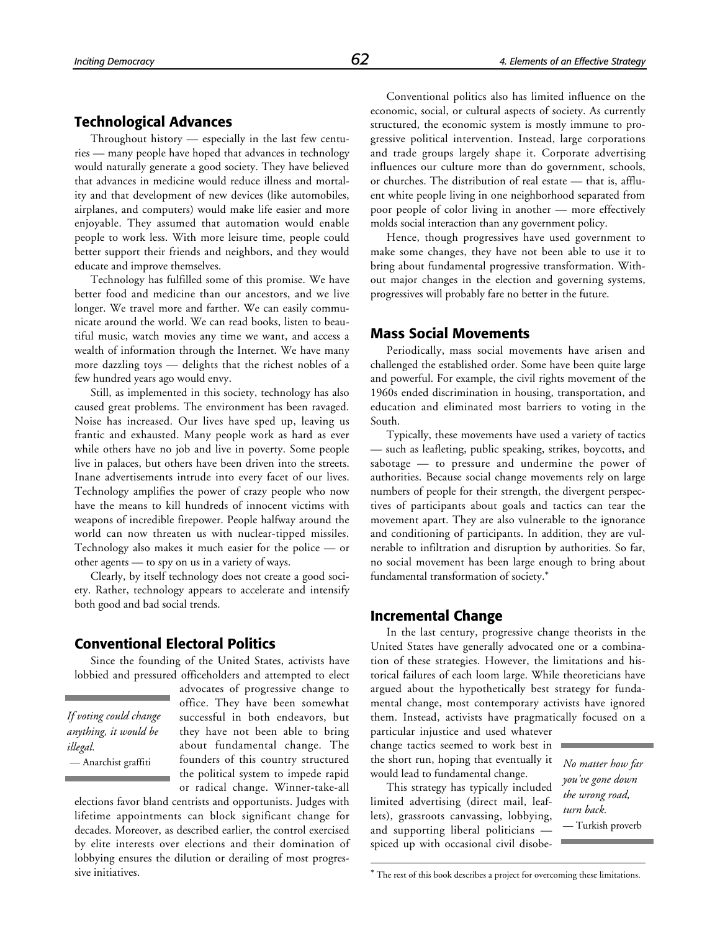# **Technological Advances**

Throughout history — especially in the last few centuries — many people have hoped that advances in technology would naturally generate a good society. They have believed that advances in medicine would reduce illness and mortality and that development of new devices (like automobiles, airplanes, and computers) would make life easier and more enjoyable. They assumed that automation would enable people to work less. With more leisure time, people could better support their friends and neighbors, and they would educate and improve themselves.

Technology has fulfilled some of this promise. We have better food and medicine than our ancestors, and we live longer. We travel more and farther. We can easily communicate around the world. We can read books, listen to beautiful music, watch movies any time we want, and access a wealth of information through the Internet. We have many more dazzling toys — delights that the richest nobles of a few hundred years ago would envy.

Still, as implemented in this society, technology has also caused great problems. The environment has been ravaged. Noise has increased. Our lives have sped up, leaving us frantic and exhausted. Many people work as hard as ever while others have no job and live in poverty. Some people live in palaces, but others have been driven into the streets. Inane advertisements intrude into every facet of our lives. Technology amplifies the power of crazy people who now have the means to kill hundreds of innocent victims with weapons of incredible firepower. People halfway around the world can now threaten us with nuclear-tipped missiles. Technology also makes it much easier for the police — or other agents — to spy on us in a variety of ways.

Clearly, by itself technology does not create a good society. Rather, technology appears to accelerate and intensify both good and bad social trends.

### **Conventional Electoral Politics**

Since the founding of the United States, activists have lobbied and pressured officeholders and attempted to elect

*If voting could change anything, it would be illegal.*

advocates of progressive change to

office. They have been somewhat successful in both endeavors, but they have not been able to bring about fundamental change. The founders of this country structured the political system to impede rapid or radical change. Winner-take-all

elections favor bland centrists and opportunists. Judges with lifetime appointments can block significant change for decades. Moreover, as described earlier, the control exercised by elite interests over elections and their domination of lobbying ensures the dilution or derailing of most progressive initiatives.

Conventional politics also has limited influence on the economic, social, or cultural aspects of society. As currently structured, the economic system is mostly immune to progressive political intervention. Instead, large corporations and trade groups largely shape it. Corporate advertising influences our culture more than do government, schools, or churches. The distribution of real estate — that is, affluent white people living in one neighborhood separated from poor people of color living in another — more effectively molds social interaction than any government policy.

Hence, though progressives have used government to make some changes, they have not been able to use it to bring about fundamental progressive transformation. Without major changes in the election and governing systems, progressives will probably fare no better in the future.

#### **Mass Social Movements**

Periodically, mass social movements have arisen and challenged the established order. Some have been quite large and powerful. For example, the civil rights movement of the 1960s ended discrimination in housing, transportation, and education and eliminated most barriers to voting in the South.

Typically, these movements have used a variety of tactics — such as leafleting, public speaking, strikes, boycotts, and sabotage — to pressure and undermine the power of authorities. Because social change movements rely on large numbers of people for their strength, the divergent perspectives of participants about goals and tactics can tear the movement apart. They are also vulnerable to the ignorance and conditioning of participants. In addition, they are vulnerable to infiltration and disruption by authorities. So far, no social movement has been large enough to bring about fundamental transformation of society.\*

### **Incremental Change**

In the last century, progressive change theorists in the United States have generally advocated one or a combination of these strategies. However, the limitations and historical failures of each loom large. While theoreticians have argued about the hypothetically best strategy for fundamental change, most contemporary activists have ignored them. Instead, activists have pragmatically focused on a

particular injustice and used whatever change tactics seemed to work best in — Anarchist graffiti **founders** of this country structured the short run, hoping that eventually it *No matter how far* would lead to fundamental change.

> This strategy has typically included limited advertising (direct mail, leaflets), grassroots canvassing, lobbying, and supporting liberal politicians spiced up with occasional civil disobe-

1

*you've gone down the wrong road, turn back.* — Turkish proverb

\* The rest of this book describes a project for overcoming these limitations.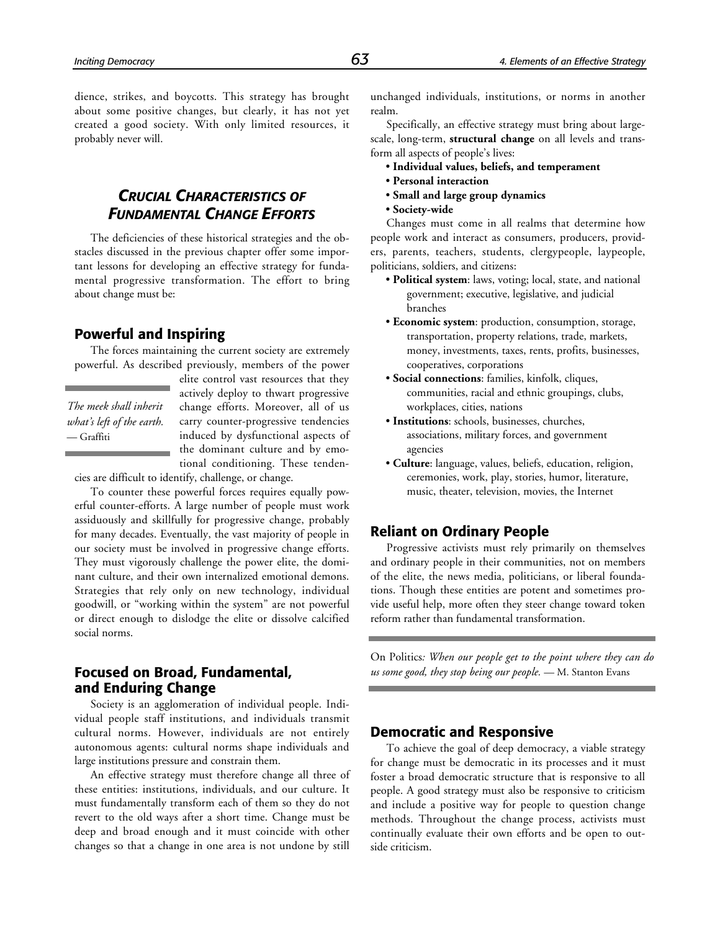dience, strikes, and boycotts. This strategy has brought about some positive changes, but clearly, it has not yet created a good society. With only limited resources, it probably never will.

# *CRUCIAL CHARACTERISTICS OF FUNDAMENTAL CHANGE EFFORTS*

The deficiencies of these historical strategies and the obstacles discussed in the previous chapter offer some important lessons for developing an effective strategy for fundamental progressive transformation. The effort to bring about change must be:

# **Powerful and Inspiring**

The forces maintaining the current society are extremely powerful. As described previously, members of the power

*The meek shall inherit what's left of the earth.* — Graffiti

elite control vast resources that they actively deploy to thwart progressive change efforts. Moreover, all of us carry counter-progressive tendencies induced by dysfunctional aspects of the dominant culture and by emotional conditioning. These tenden-

cies are difficult to identify, challenge, or change.

To counter these powerful forces requires equally powerful counter-efforts. A large number of people must work assiduously and skillfully for progressive change, probably for many decades. Eventually, the vast majority of people in our society must be involved in progressive change efforts. They must vigorously challenge the power elite, the dominant culture, and their own internalized emotional demons. Strategies that rely only on new technology, individual goodwill, or "working within the system" are not powerful or direct enough to dislodge the elite or dissolve calcified social norms.

# **Focused on Broad, Fundamental, and Enduring Change**

Society is an agglomeration of individual people. Individual people staff institutions, and individuals transmit cultural norms. However, individuals are not entirely autonomous agents: cultural norms shape individuals and large institutions pressure and constrain them.

An effective strategy must therefore change all three of these entities: institutions, individuals, and our culture. It must fundamentally transform each of them so they do not revert to the old ways after a short time. Change must be deep and broad enough and it must coincide with other changes so that a change in one area is not undone by still

unchanged individuals, institutions, or norms in another realm.

Specifically, an effective strategy must bring about largescale, long-term, **structural change** on all levels and transform all aspects of people's lives:

- **Individual values, beliefs, and temperament**
- **Personal interaction**
- **Small and large group dynamics**
- **Society-wide**

Changes must come in all realms that determine how people work and interact as consumers, producers, providers, parents, teachers, students, clergypeople, laypeople, politicians, soldiers, and citizens:

- **Political system**: laws, voting; local, state, and national government; executive, legislative, and judicial branches
- **Economic system**: production, consumption, storage, transportation, property relations, trade, markets, money, investments, taxes, rents, profits, businesses, cooperatives, corporations
- **Social connections**: families, kinfolk, cliques, communities, racial and ethnic groupings, clubs, workplaces, cities, nations
- **Institutions**: schools, businesses, churches, associations, military forces, and government agencies
- **Culture**: language, values, beliefs, education, religion, ceremonies, work, play, stories, humor, literature, music, theater, television, movies, the Internet

# **Reliant on Ordinary People**

Progressive activists must rely primarily on themselves and ordinary people in their communities, not on members of the elite, the news media, politicians, or liberal foundations. Though these entities are potent and sometimes provide useful help, more often they steer change toward token reform rather than fundamental transformation.

On Politics*: When our people get to the point where they can do us some good, they stop being our people.* — M. Stanton Evans

# **Democratic and Responsive**

To achieve the goal of deep democracy, a viable strategy for change must be democratic in its processes and it must foster a broad democratic structure that is responsive to all people. A good strategy must also be responsive to criticism and include a positive way for people to question change methods. Throughout the change process, activists must continually evaluate their own efforts and be open to outside criticism.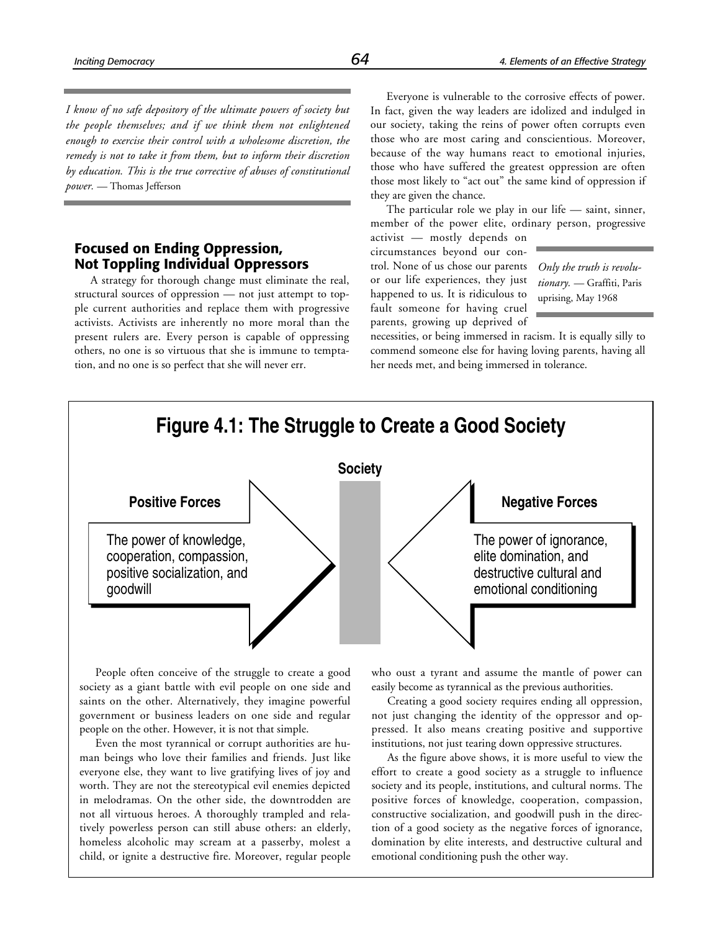*I know of no safe depository of the ultimate powers of society but the people themselves; and if we think them not enlightened enough to exercise their control with a wholesome discretion, the remedy is not to take it from them, but to inform their discretion by education. This is the true corrective of abuses of constitutional power.* — Thomas Jefferson

# **Focused on Ending Oppression, Not Toppling Individual Oppressors**

A strategy for thorough change must eliminate the real, structural sources of oppression — not just attempt to topple current authorities and replace them with progressive activists. Activists are inherently no more moral than the present rulers are. Every person is capable of oppressing others, no one is so virtuous that she is immune to temptation, and no one is so perfect that she will never err.

Everyone is vulnerable to the corrosive effects of power. In fact, given the way leaders are idolized and indulged in our society, taking the reins of power often corrupts even those who are most caring and conscientious. Moreover, because of the way humans react to emotional injuries, those who have suffered the greatest oppression are often those most likely to "act out" the same kind of oppression if they are given the chance.

The particular role we play in our life — saint, sinner, member of the power elite, ordinary person, progressive

activist — mostly depends on circumstances beyond our control. None of us chose our parents or our life experiences, they just happened to us. It is ridiculous to fault someone for having cruel parents, growing up deprived of

*Only the truth is revolutionary.* — Graffiti, Paris uprising, May 1968

necessities, or being immersed in racism. It is equally silly to commend someone else for having loving parents, having all her needs met, and being immersed in tolerance.



People often conceive of the struggle to create a good society as a giant battle with evil people on one side and saints on the other. Alternatively, they imagine powerful government or business leaders on one side and regular people on the other. However, it is not that simple.

Even the most tyrannical or corrupt authorities are human beings who love their families and friends. Just like everyone else, they want to live gratifying lives of joy and worth. They are not the stereotypical evil enemies depicted in melodramas. On the other side, the downtrodden are not all virtuous heroes. A thoroughly trampled and relatively powerless person can still abuse others: an elderly, homeless alcoholic may scream at a passerby, molest a child, or ignite a destructive fire. Moreover, regular people

who oust a tyrant and assume the mantle of power can easily become as tyrannical as the previous authorities.

Creating a good society requires ending all oppression, not just changing the identity of the oppressor and oppressed. It also means creating positive and supportive institutions, not just tearing down oppressive structures.

As the figure above shows, it is more useful to view the effort to create a good society as a struggle to influence society and its people, institutions, and cultural norms. The positive forces of knowledge, cooperation, compassion, constructive socialization, and goodwill push in the direction of a good society as the negative forces of ignorance, domination by elite interests, and destructive cultural and emotional conditioning push the other way.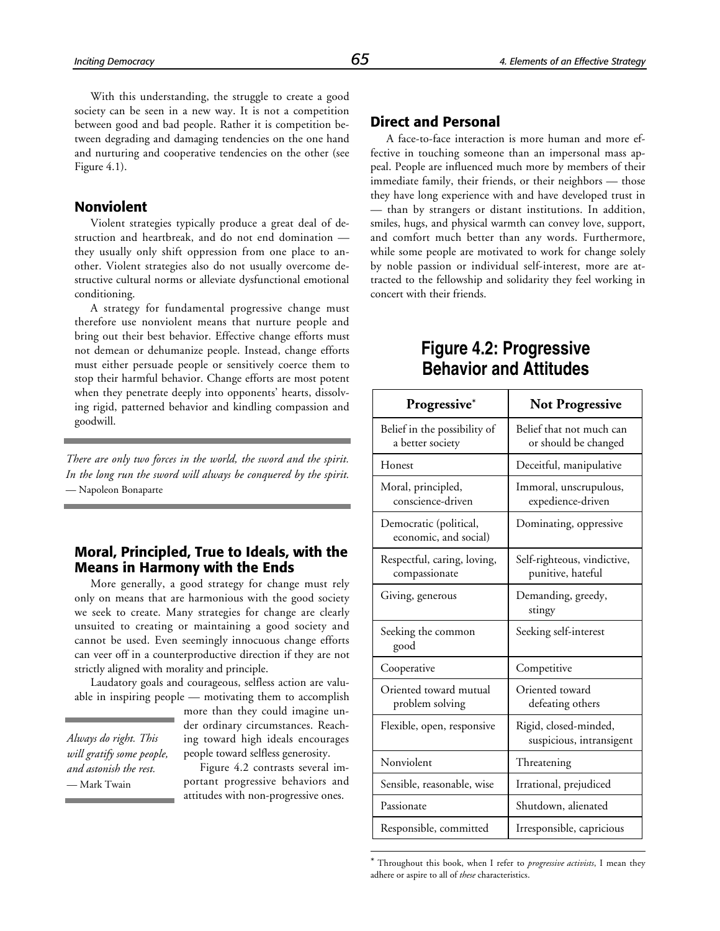With this understanding, the struggle to create a good society can be seen in a new way. It is not a competition between good and bad people. Rather it is competition between degrading and damaging tendencies on the one hand and nurturing and cooperative tendencies on the other (see Figure 4.1).

# **Nonviolent**

Violent strategies typically produce a great deal of destruction and heartbreak, and do not end domination they usually only shift oppression from one place to another. Violent strategies also do not usually overcome destructive cultural norms or alleviate dysfunctional emotional conditioning.

A strategy for fundamental progressive change must therefore use nonviolent means that nurture people and bring out their best behavior. Effective change efforts must not demean or dehumanize people. Instead, change efforts must either persuade people or sensitively coerce them to stop their harmful behavior. Change efforts are most potent when they penetrate deeply into opponents' hearts, dissolving rigid, patterned behavior and kindling compassion and goodwill.

*There are only two forces in the world, the sword and the spirit. In the long run the sword will always be conquered by the spirit.* — Napoleon Bonaparte

# **Moral, Principled, True to Ideals, with the Means in Harmony with the Ends**

More generally, a good strategy for change must rely only on means that are harmonious with the good society we seek to create. Many strategies for change are clearly unsuited to creating or maintaining a good society and cannot be used. Even seemingly innocuous change efforts can veer off in a counterproductive direction if they are not strictly aligned with morality and principle.

Laudatory goals and courageous, selfless action are valuable in inspiring people — motivating them to accomplish

*Always do right. This will gratify some people, and astonish the rest.* — Mark Twain

more than they could imagine under ordinary circumstances. Reaching toward high ideals encourages people toward selfless generosity.

Figure 4.2 contrasts several important progressive behaviors and attitudes with non-progressive ones.

1

# **Direct and Personal**

A face-to-face interaction is more human and more effective in touching someone than an impersonal mass appeal. People are influenced much more by members of their immediate family, their friends, or their neighbors — those they have long experience with and have developed trust in — than by strangers or distant institutions. In addition, smiles, hugs, and physical warmth can convey love, support, and comfort much better than any words. Furthermore, while some people are motivated to work for change solely by noble passion or individual self-interest, more are attracted to the fellowship and solidarity they feel working in concert with their friends.

# **Figure 4.2: Progressive Behavior and Attitudes**

| Progressive*                                     | <b>Not Progressive</b>                            |
|--------------------------------------------------|---------------------------------------------------|
| Belief in the possibility of<br>a better society | Belief that not much can<br>or should be changed  |
| Honest                                           | Deceitful, manipulative                           |
| Moral, principled,<br>conscience-driven          | Immoral, unscrupulous,<br>expedience-driven       |
| Democratic (political,<br>economic, and social)  | Dominating, oppressive                            |
| Respectful, caring, loving,<br>compassionate     | Self-righteous, vindictive,<br>punitive, hateful  |
| Giving, generous                                 | Demanding, greedy,<br>stingy                      |
| Seeking the common<br>good                       | Seeking self-interest                             |
| Cooperative                                      | Competitive                                       |
| Oriented toward mutual<br>problem solving        | Oriented toward<br>defeating others               |
| Flexible, open, responsive                       | Rigid, closed-minded,<br>suspicious, intransigent |
| Nonviolent                                       | Threatening                                       |
| Sensible, reasonable, wise                       | Irrational, prejudiced                            |
| Passionate                                       | Shutdown, alienated                               |
| Responsible, committed                           | Irresponsible, capricious                         |

<sup>\*</sup> Throughout this book, when I refer to *progressive activists*, I mean they adhere or aspire to all of *these* characteristics.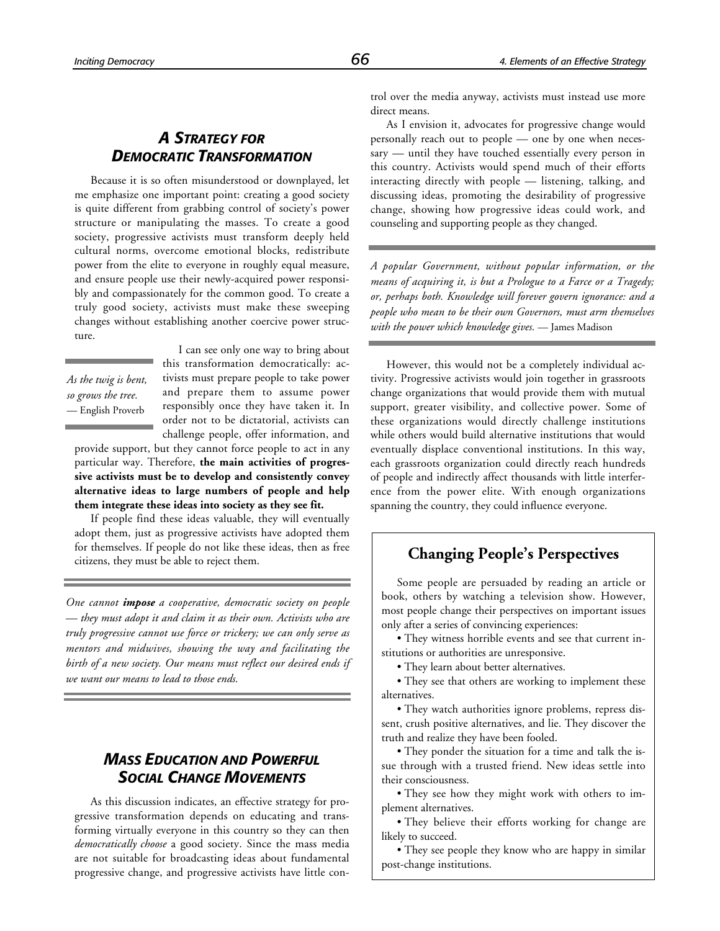# *A STRATEGY FOR DEMOCRATIC TRANSFORMATION*

Because it is so often misunderstood or downplayed, let me emphasize one important point: creating a good society is quite different from grabbing control of society's power structure or manipulating the masses. To create a good society, progressive activists must transform deeply held cultural norms, overcome emotional blocks, redistribute power from the elite to everyone in roughly equal measure, and ensure people use their newly-acquired power responsibly and compassionately for the common good. To create a truly good society, activists must make these sweeping changes without establishing another coercive power structure.

*As the twig is bent, so grows the tree.* — English Proverb

I can see only one way to bring about this transformation democratically: activists must prepare people to take power and prepare them to assume power responsibly once they have taken it. In order not to be dictatorial, activists can challenge people, offer information, and

provide support, but they cannot force people to act in any particular way. Therefore, **the main activities of progressive activists must be to develop and consistently convey alternative ideas to large numbers of people and help them integrate these ideas into society as they see fit.**

If people find these ideas valuable, they will eventually adopt them, just as progressive activists have adopted them for themselves. If people do not like these ideas, then as free citizens, they must be able to reject them.

*One cannot impose a cooperative, democratic society on people — they must adopt it and claim it as their own. Activists who are truly progressive cannot use force or trickery; we can only serve as mentors and midwives, showing the way and facilitating the birth of a new society. Our means must reflect our desired ends if we want our means to lead to those ends.*

# *MASS EDUCATION AND POWERFUL SOCIAL CHANGE MOVEMENTS*

As this discussion indicates, an effective strategy for progressive transformation depends on educating and transforming virtually everyone in this country so they can then *democratically choose* a good society. Since the mass media are not suitable for broadcasting ideas about fundamental progressive change, and progressive activists have little control over the media anyway, activists must instead use more direct means.

As I envision it, advocates for progressive change would personally reach out to people — one by one when necessary — until they have touched essentially every person in this country. Activists would spend much of their efforts interacting directly with people — listening, talking, and discussing ideas, promoting the desirability of progressive change, showing how progressive ideas could work, and counseling and supporting people as they changed.

*A popular Government, without popular information, or the means of acquiring it, is but a Prologue to a Farce or a Tragedy; or, perhaps both. Knowledge will forever govern ignorance: and a people who mean to be their own Governors, must arm themselves with the power which knowledge gives.* — James Madison

However, this would not be a completely individual activity. Progressive activists would join together in grassroots change organizations that would provide them with mutual support, greater visibility, and collective power. Some of these organizations would directly challenge institutions while others would build alternative institutions that would eventually displace conventional institutions. In this way, each grassroots organization could directly reach hundreds of people and indirectly affect thousands with little interference from the power elite. With enough organizations spanning the country, they could influence everyone.

# **Changing People's Perspectives**

Some people are persuaded by reading an article or book, others by watching a television show. However, most people change their perspectives on important issues only after a series of convincing experiences:

• They witness horrible events and see that current institutions or authorities are unresponsive.

• They learn about better alternatives.

• They see that others are working to implement these alternatives.

• They watch authorities ignore problems, repress dissent, crush positive alternatives, and lie. They discover the truth and realize they have been fooled.

• They ponder the situation for a time and talk the issue through with a trusted friend. New ideas settle into their consciousness.

• They see how they might work with others to implement alternatives.

• They believe their efforts working for change are likely to succeed.

• They see people they know who are happy in similar post-change institutions.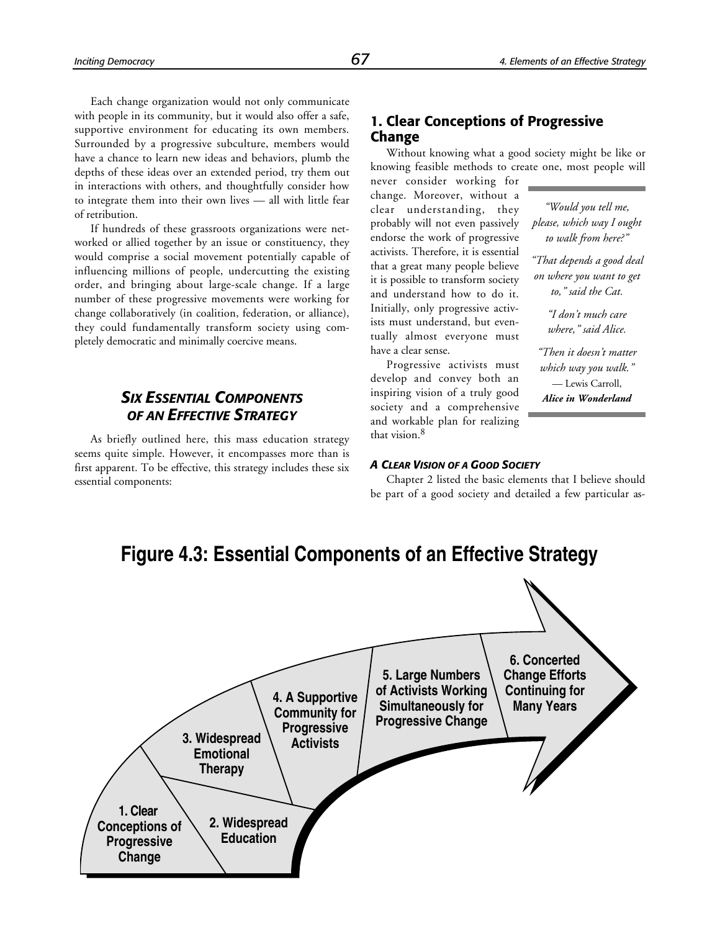*"Would you tell me, please, which way I ought to walk from here?" "That depends a good deal on where you want to get to," said the Cat. "I don't much care where," said Alice.*

*"Then it doesn't matter which way you walk."* — Lewis Carroll, *Alice in Wonderland*

Each change organization would not only communicate with people in its community, but it would also offer a safe, supportive environment for educating its own members. Surrounded by a progressive subculture, members would have a chance to learn new ideas and behaviors, plumb the depths of these ideas over an extended period, try them out in interactions with others, and thoughtfully consider how to integrate them into their own lives — all with little fear of retribution.

If hundreds of these grassroots organizations were networked or allied together by an issue or constituency, they would comprise a social movement potentially capable of influencing millions of people, undercutting the existing order, and bringing about large-scale change. If a large number of these progressive movements were working for change collaboratively (in coalition, federation, or alliance), they could fundamentally transform society using completely democratic and minimally coercive means.

# *SIX ESSENTIAL COMPONENTS OF AN EFFECTIVE STRATEGY*

As briefly outlined here, this mass education strategy seems quite simple. However, it encompasses more than is first apparent. To be effective, this strategy includes these six essential components:

# **1. Clear Conceptions of Progressive Change**

Without knowing what a good society might be like or knowing feasible methods to create one, most people will

never consider working for change. Moreover, without a clear understanding, they probably will not even passively endorse the work of progressive activists. Therefore, it is essential that a great many people believe it is possible to transform society and understand how to do it. Initially, only progressive activists must understand, but eventually almost everyone must have a clear sense.

Progressive activists must develop and convey both an inspiring vision of a truly good society and a comprehensive and workable plan for realizing that vision.<sup>8</sup>

#### *A CLEAR VISION OF A GOOD SOCIETY*

Chapter 2 listed the basic elements that I believe should be part of a good society and detailed a few particular as-



# **Figure 4.3: Essential Components of an Effective Strategy**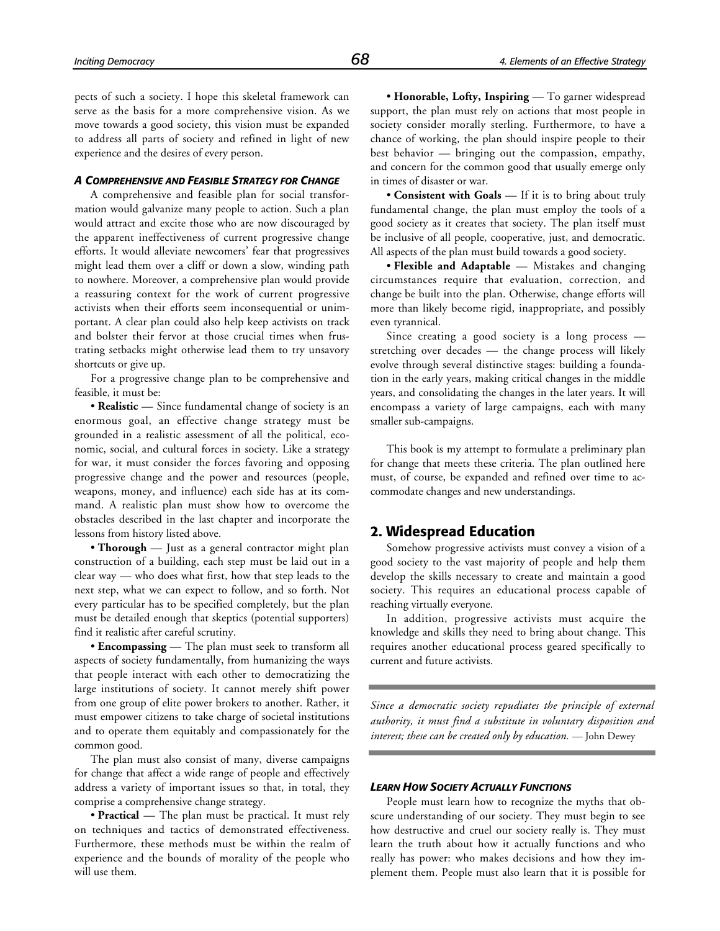pects of such a society. I hope this skeletal framework can serve as the basis for a more comprehensive vision. As we move towards a good society, this vision must be expanded to address all parts of society and refined in light of new experience and the desires of every person.

#### *A COMPREHENSIVE AND FEASIBLE STRATEGY FOR CHANGE*

A comprehensive and feasible plan for social transformation would galvanize many people to action. Such a plan would attract and excite those who are now discouraged by the apparent ineffectiveness of current progressive change efforts. It would alleviate newcomers' fear that progressives might lead them over a cliff or down a slow, winding path to nowhere. Moreover, a comprehensive plan would provide a reassuring context for the work of current progressive activists when their efforts seem inconsequential or unimportant. A clear plan could also help keep activists on track and bolster their fervor at those crucial times when frustrating setbacks might otherwise lead them to try unsavory shortcuts or give up.

For a progressive change plan to be comprehensive and feasible, it must be:

• **Realistic** — Since fundamental change of society is an enormous goal, an effective change strategy must be grounded in a realistic assessment of all the political, economic, social, and cultural forces in society. Like a strategy for war, it must consider the forces favoring and opposing progressive change and the power and resources (people, weapons, money, and influence) each side has at its command. A realistic plan must show how to overcome the obstacles described in the last chapter and incorporate the lessons from history listed above.

• **Thorough** — Just as a general contractor might plan construction of a building, each step must be laid out in a clear way — who does what first, how that step leads to the next step, what we can expect to follow, and so forth. Not every particular has to be specified completely, but the plan must be detailed enough that skeptics (potential supporters) find it realistic after careful scrutiny.

• **Encompassing** — The plan must seek to transform all aspects of society fundamentally, from humanizing the ways that people interact with each other to democratizing the large institutions of society. It cannot merely shift power from one group of elite power brokers to another. Rather, it must empower citizens to take charge of societal institutions and to operate them equitably and compassionately for the common good.

The plan must also consist of many, diverse campaigns for change that affect a wide range of people and effectively address a variety of important issues so that, in total, they comprise a comprehensive change strategy.

• **Practical** — The plan must be practical. It must rely on techniques and tactics of demonstrated effectiveness. Furthermore, these methods must be within the realm of experience and the bounds of morality of the people who will use them.

• **Honorable, Lofty, Inspiring** — To garner widespread support, the plan must rely on actions that most people in society consider morally sterling. Furthermore, to have a chance of working, the plan should inspire people to their best behavior — bringing out the compassion, empathy, and concern for the common good that usually emerge only in times of disaster or war.

• **Consistent with Goals** — If it is to bring about truly fundamental change, the plan must employ the tools of a good society as it creates that society. The plan itself must be inclusive of all people, cooperative, just, and democratic. All aspects of the plan must build towards a good society.

• **Flexible and Adaptable** — Mistakes and changing circumstances require that evaluation, correction, and change be built into the plan. Otherwise, change efforts will more than likely become rigid, inappropriate, and possibly even tyrannical.

Since creating a good society is a long process stretching over decades — the change process will likely evolve through several distinctive stages: building a foundation in the early years, making critical changes in the middle years, and consolidating the changes in the later years. It will encompass a variety of large campaigns, each with many smaller sub-campaigns.

This book is my attempt to formulate a preliminary plan for change that meets these criteria. The plan outlined here must, of course, be expanded and refined over time to accommodate changes and new understandings.

# **2. Widespread Education**

Somehow progressive activists must convey a vision of a good society to the vast majority of people and help them develop the skills necessary to create and maintain a good society. This requires an educational process capable of reaching virtually everyone.

In addition, progressive activists must acquire the knowledge and skills they need to bring about change. This requires another educational process geared specifically to current and future activists.

*Since a democratic society repudiates the principle of external authority, it must find a substitute in voluntary disposition and interest; these can be created only by education.* — John Dewey

#### *LEARN HOW SOCIETY ACTUALLY FUNCTIONS*

People must learn how to recognize the myths that obscure understanding of our society. They must begin to see how destructive and cruel our society really is. They must learn the truth about how it actually functions and who really has power: who makes decisions and how they implement them. People must also learn that it is possible for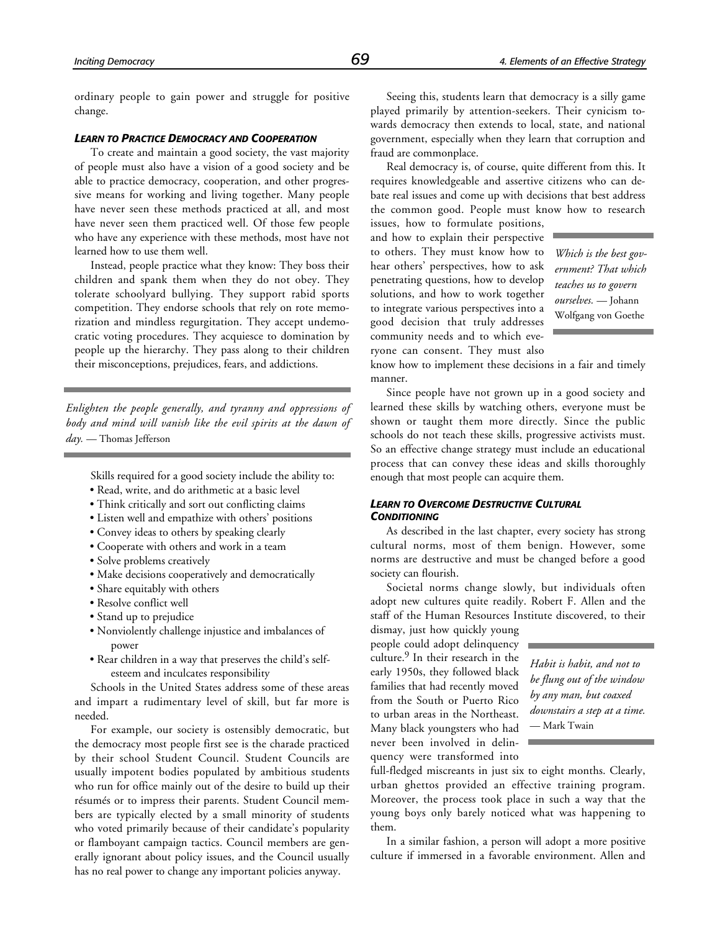ordinary people to gain power and struggle for positive change.

#### *LEARN TO PRACTICE DEMOCRACY AND COOPERATION*

To create and maintain a good society, the vast majority of people must also have a vision of a good society and be able to practice democracy, cooperation, and other progressive means for working and living together. Many people have never seen these methods practiced at all, and most have never seen them practiced well. Of those few people who have any experience with these methods, most have not learned how to use them well.

Instead, people practice what they know: They boss their children and spank them when they do not obey. They tolerate schoolyard bullying. They support rabid sports competition. They endorse schools that rely on rote memorization and mindless regurgitation. They accept undemocratic voting procedures. They acquiesce to domination by people up the hierarchy. They pass along to their children their misconceptions, prejudices, fears, and addictions.

*Enlighten the people generally, and tyranny and oppressions of body and mind will vanish like the evil spirits at the dawn of day.* — Thomas Jefferson

Skills required for a good society include the ability to:

- Read, write, and do arithmetic at a basic level
- Think critically and sort out conflicting claims
- Listen well and empathize with others' positions
- Convey ideas to others by speaking clearly
- Cooperate with others and work in a team
- Solve problems creatively
- Make decisions cooperatively and democratically
- Share equitably with others
- Resolve conflict well
- Stand up to prejudice
- Nonviolently challenge injustice and imbalances of power
- Rear children in a way that preserves the child's selfesteem and inculcates responsibility

Schools in the United States address some of these areas and impart a rudimentary level of skill, but far more is needed.

For example, our society is ostensibly democratic, but the democracy most people first see is the charade practiced by their school Student Council. Student Councils are usually impotent bodies populated by ambitious students who run for office mainly out of the desire to build up their résumés or to impress their parents. Student Council members are typically elected by a small minority of students who voted primarily because of their candidate's popularity or flamboyant campaign tactics. Council members are generally ignorant about policy issues, and the Council usually has no real power to change any important policies anyway.

Seeing this, students learn that democracy is a silly game played primarily by attention-seekers. Their cynicism towards democracy then extends to local, state, and national government, especially when they learn that corruption and fraud are commonplace.

Real democracy is, of course, quite different from this. It requires knowledgeable and assertive citizens who can debate real issues and come up with decisions that best address the common good. People must know how to research

issues, how to formulate positions, and how to explain their perspective to others. They must know how to hear others' perspectives, how to ask penetrating questions, how to develop solutions, and how to work together to integrate various perspectives into a good decision that truly addresses community needs and to which everyone can consent. They must also

*Which is the best government? That which teaches us to govern ourselves.* — Johann Wolfgang von Goethe

know how to implement these decisions in a fair and timely manner.

Since people have not grown up in a good society and learned these skills by watching others, everyone must be shown or taught them more directly. Since the public schools do not teach these skills, progressive activists must. So an effective change strategy must include an educational process that can convey these ideas and skills thoroughly enough that most people can acquire them.

#### *LEARN TO OVERCOME DESTRUCTIVE CULTURAL CONDITIONING*

As described in the last chapter, every society has strong cultural norms, most of them benign. However, some norms are destructive and must be changed before a good society can flourish.

Societal norms change slowly, but individuals often adopt new cultures quite readily. Robert F. Allen and the staff of the Human Resources Institute discovered, to their

dismay, just how quickly young people could adopt delinquency culture.<sup>9</sup> In their research in the early 1950s, they followed black families that had recently moved from the South or Puerto Rico to urban areas in the Northeast. Many black youngsters who had never been involved in delinquency were transformed into

*Habit is habit, and not to be flung out of the window by any man, but coaxed downstairs a step at a time.* — Mark Twain

full-fledged miscreants in just six to eight months. Clearly, urban ghettos provided an effective training program. Moreover, the process took place in such a way that the young boys only barely noticed what was happening to them.

In a similar fashion, a person will adopt a more positive culture if immersed in a favorable environment. Allen and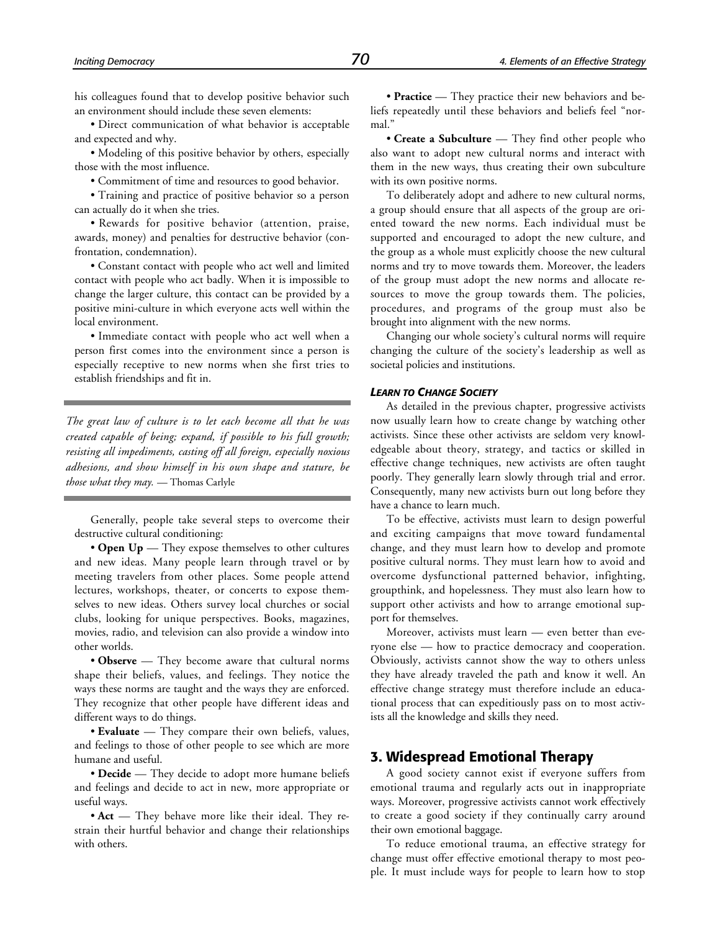his colleagues found that to develop positive behavior such an environment should include these seven elements:

• Direct communication of what behavior is acceptable and expected and why.

• Modeling of this positive behavior by others, especially those with the most influence.

• Commitment of time and resources to good behavior.

• Training and practice of positive behavior so a person can actually do it when she tries.

• Rewards for positive behavior (attention, praise, awards, money) and penalties for destructive behavior (confrontation, condemnation).

• Constant contact with people who act well and limited contact with people who act badly. When it is impossible to change the larger culture, this contact can be provided by a positive mini-culture in which everyone acts well within the local environment.

• Immediate contact with people who act well when a person first comes into the environment since a person is especially receptive to new norms when she first tries to establish friendships and fit in.

*The great law of culture is to let each become all that he was created capable of being; expand, if possible to his full growth; resisting all impediments, casting off all foreign, especially noxious adhesions, and show himself in his own shape and stature, be those what they may.* — Thomas Carlyle

Generally, people take several steps to overcome their destructive cultural conditioning:

• **Open Up** — They expose themselves to other cultures and new ideas. Many people learn through travel or by meeting travelers from other places. Some people attend lectures, workshops, theater, or concerts to expose themselves to new ideas. Others survey local churches or social clubs, looking for unique perspectives. Books, magazines, movies, radio, and television can also provide a window into other worlds.

• **Observe** — They become aware that cultural norms shape their beliefs, values, and feelings. They notice the ways these norms are taught and the ways they are enforced. They recognize that other people have different ideas and different ways to do things.

• **Evaluate** — They compare their own beliefs, values, and feelings to those of other people to see which are more humane and useful.

• **Decide** — They decide to adopt more humane beliefs and feelings and decide to act in new, more appropriate or useful ways.

• **Act** — They behave more like their ideal. They restrain their hurtful behavior and change their relationships with others.

• **Practice** — They practice their new behaviors and beliefs repeatedly until these behaviors and beliefs feel "normal."

• **Create a Subculture** — They find other people who also want to adopt new cultural norms and interact with them in the new ways, thus creating their own subculture with its own positive norms.

To deliberately adopt and adhere to new cultural norms, a group should ensure that all aspects of the group are oriented toward the new norms. Each individual must be supported and encouraged to adopt the new culture, and the group as a whole must explicitly choose the new cultural norms and try to move towards them. Moreover, the leaders of the group must adopt the new norms and allocate resources to move the group towards them. The policies, procedures, and programs of the group must also be brought into alignment with the new norms.

Changing our whole society's cultural norms will require changing the culture of the society's leadership as well as societal policies and institutions.

#### *LEARN TO CHANGE SOCIETY*

As detailed in the previous chapter, progressive activists now usually learn how to create change by watching other activists. Since these other activists are seldom very knowledgeable about theory, strategy, and tactics or skilled in effective change techniques, new activists are often taught poorly. They generally learn slowly through trial and error. Consequently, many new activists burn out long before they have a chance to learn much.

To be effective, activists must learn to design powerful and exciting campaigns that move toward fundamental change, and they must learn how to develop and promote positive cultural norms. They must learn how to avoid and overcome dysfunctional patterned behavior, infighting, groupthink, and hopelessness. They must also learn how to support other activists and how to arrange emotional support for themselves.

Moreover, activists must learn — even better than everyone else — how to practice democracy and cooperation. Obviously, activists cannot show the way to others unless they have already traveled the path and know it well. An effective change strategy must therefore include an educational process that can expeditiously pass on to most activists all the knowledge and skills they need.

#### **3. Widespread Emotional Therapy**

A good society cannot exist if everyone suffers from emotional trauma and regularly acts out in inappropriate ways. Moreover, progressive activists cannot work effectively to create a good society if they continually carry around their own emotional baggage.

To reduce emotional trauma, an effective strategy for change must offer effective emotional therapy to most people. It must include ways for people to learn how to stop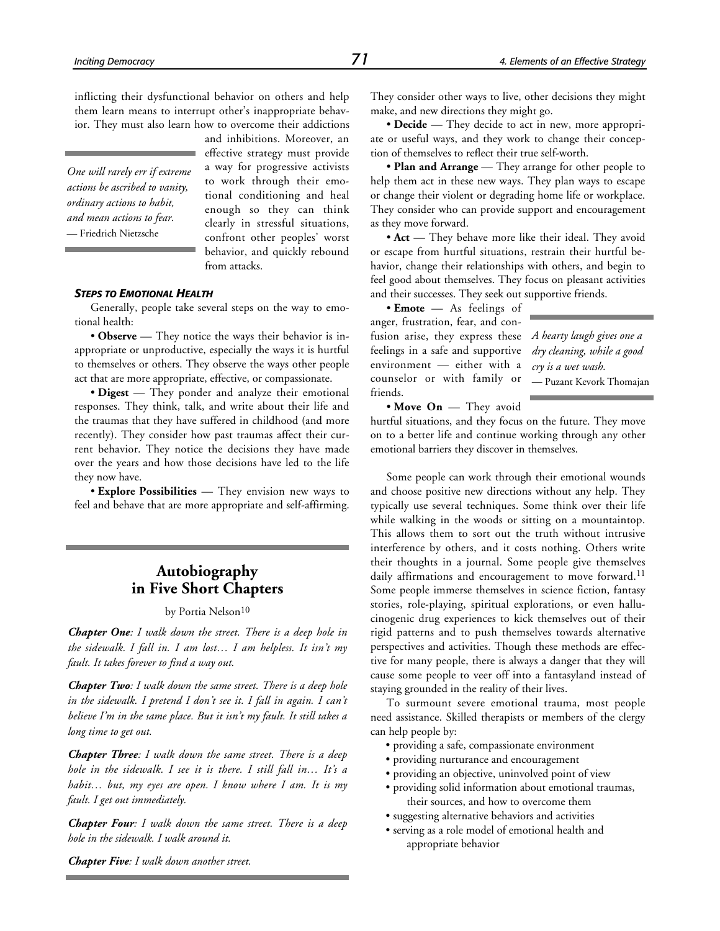inflicting their dysfunctional behavior on others and help them learn means to interrupt other's inappropriate behavior. They must also learn how to overcome their addictions

*One will rarely err if extreme actions be ascribed to vanity, ordinary actions to habit, and mean actions to fear.* — Friedrich Nietzsche

and inhibitions. Moreover, an effective strategy must provide a way for progressive activists to work through their emotional conditioning and heal enough so they can think clearly in stressful situations, confront other peoples' worst behavior, and quickly rebound from attacks.

#### *STEPS TO EMOTIONAL HEALTH*

Generally, people take several steps on the way to emotional health:

• **Observe** — They notice the ways their behavior is inappropriate or unproductive, especially the ways it is hurtful to themselves or others. They observe the ways other people act that are more appropriate, effective, or compassionate.

• **Digest** — They ponder and analyze their emotional responses. They think, talk, and write about their life and the traumas that they have suffered in childhood (and more recently). They consider how past traumas affect their current behavior. They notice the decisions they have made over the years and how those decisions have led to the life they now have.

• **Explore Possibilities** — They envision new ways to feel and behave that are more appropriate and self-affirming.

# **Autobiography in Five Short Chapters**

#### by Portia Nelson<sup>10</sup>

*Chapter One: I walk down the street. There is a deep hole in the sidewalk. I fall in. I am lost… I am helpless. It isn't my fault. It takes forever to find a way out.*

*Chapter Two: I walk down the same street. There is a deep hole in the sidewalk. I pretend I don't see it. I fall in again. I can't believe I'm in the same place. But it isn't my fault. It still takes a long time to get out.*

*Chapter Three: I walk down the same street. There is a deep hole in the sidewalk. I see it is there. I still fall in… It's a habit… but, my eyes are open. I know where I am. It is my fault. I get out immediately.*

*Chapter Four: I walk down the same street. There is a deep hole in the sidewalk. I walk around it.*

They consider other ways to live, other decisions they might make, and new directions they might go.

• **Decide** — They decide to act in new, more appropriate or useful ways, and they work to change their conception of themselves to reflect their true self-worth.

• **Plan and Arrange** — They arrange for other people to help them act in these new ways. They plan ways to escape or change their violent or degrading home life or workplace. They consider who can provide support and encouragement as they move forward.

• **Act** — They behave more like their ideal. They avoid or escape from hurtful situations, restrain their hurtful behavior, change their relationships with others, and begin to feel good about themselves. They focus on pleasant activities and their successes. They seek out supportive friends.

• **Emote** — As feelings of anger, frustration, fear, and confusion arise, they express these *A hearty laugh gives one a* feelings in a safe and supportive *dry cleaning, while a good* environment — either with a counselor or with family or friends.

*cry is a wet wash.* — Puzant Kevork Thomajan

• **Move On** — They avoid

hurtful situations, and they focus on the future. They move on to a better life and continue working through any other emotional barriers they discover in themselves.

Some people can work through their emotional wounds and choose positive new directions without any help. They typically use several techniques. Some think over their life while walking in the woods or sitting on a mountaintop. This allows them to sort out the truth without intrusive interference by others, and it costs nothing. Others write their thoughts in a journal. Some people give themselves daily affirmations and encouragement to move forward.<sup>11</sup> Some people immerse themselves in science fiction, fantasy stories, role-playing, spiritual explorations, or even hallucinogenic drug experiences to kick themselves out of their rigid patterns and to push themselves towards alternative perspectives and activities. Though these methods are effective for many people, there is always a danger that they will cause some people to veer off into a fantasyland instead of staying grounded in the reality of their lives.

To surmount severe emotional trauma, most people need assistance. Skilled therapists or members of the clergy can help people by:

- providing a safe, compassionate environment
- providing nurturance and encouragement
- providing an objective, uninvolved point of view
- providing solid information about emotional traumas, their sources, and how to overcome them
- suggesting alternative behaviors and activities
- serving as a role model of emotional health and appropriate behavior

*Chapter Five: I walk down another street.*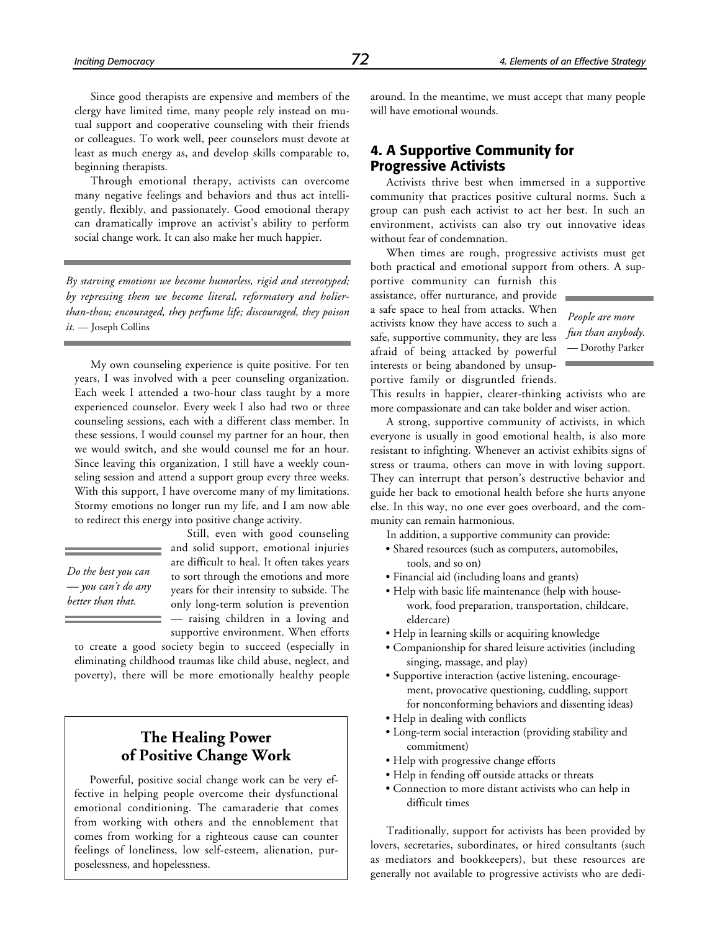Since good therapists are expensive and members of the clergy have limited time, many people rely instead on mutual support and cooperative counseling with their friends or colleagues. To work well, peer counselors must devote at least as much energy as, and develop skills comparable to, beginning therapists.

Through emotional therapy, activists can overcome many negative feelings and behaviors and thus act intelligently, flexibly, and passionately. Good emotional therapy can dramatically improve an activist's ability to perform social change work. It can also make her much happier.

*By starving emotions we become humorless, rigid and stereotyped; by repressing them we become literal, reformatory and holierthan-thou; encouraged, they perfume life; discouraged, they poison it.* — Joseph Collins

My own counseling experience is quite positive. For ten years, I was involved with a peer counseling organization. Each week I attended a two-hour class taught by a more experienced counselor. Every week I also had two or three counseling sessions, each with a different class member. In these sessions, I would counsel my partner for an hour, then we would switch, and she would counsel me for an hour. Since leaving this organization, I still have a weekly counseling session and attend a support group every three weeks. With this support, I have overcome many of my limitations. Stormy emotions no longer run my life, and I am now able to redirect this energy into positive change activity.

*Do the best you can — you can't do any better than that.*

Still, even with good counseling and solid support, emotional injuries are difficult to heal. It often takes years to sort through the emotions and more years for their intensity to subside. The only long-term solution is prevention — raising children in a loving and supportive environment. When efforts

to create a good society begin to succeed (especially in eliminating childhood traumas like child abuse, neglect, and poverty), there will be more emotionally healthy people

# **The Healing Power of Positive Change Work**

Powerful, positive social change work can be very effective in helping people overcome their dysfunctional emotional conditioning. The camaraderie that comes from working with others and the ennoblement that comes from working for a righteous cause can counter feelings of loneliness, low self-esteem, alienation, purposelessness, and hopelessness.

around. In the meantime, we must accept that many people will have emotional wounds.

# **4. A Supportive Community for Progressive Activists**

Activists thrive best when immersed in a supportive community that practices positive cultural norms. Such a group can push each activist to act her best. In such an environment, activists can also try out innovative ideas without fear of condemnation.

When times are rough, progressive activists must get both practical and emotional support from others. A sup-

portive community can furnish this assistance, offer nurturance, and provide a safe space to heal from attacks. When activists know they have access to such a safe, supportive community, they are less afraid of being attacked by powerful interests or being abandoned by unsupportive family or disgruntled friends.

*People are more fun than anybody.* — Dorothy Parker

This results in happier, clearer-thinking activists who are more compassionate and can take bolder and wiser action.

A strong, supportive community of activists, in which everyone is usually in good emotional health, is also more resistant to infighting. Whenever an activist exhibits signs of stress or trauma, others can move in with loving support. They can interrupt that person's destructive behavior and guide her back to emotional health before she hurts anyone else. In this way, no one ever goes overboard, and the community can remain harmonious.

In addition, a supportive community can provide:

- Shared resources (such as computers, automobiles, tools, and so on)
- Financial aid (including loans and grants)
- Help with basic life maintenance (help with housework, food preparation, transportation, childcare, eldercare)
- Help in learning skills or acquiring knowledge
- Companionship for shared leisure activities (including singing, massage, and play)
- Supportive interaction (active listening, encouragement, provocative questioning, cuddling, support for nonconforming behaviors and dissenting ideas)
- Help in dealing with conflicts
- Long-term social interaction (providing stability and commitment)
- Help with progressive change efforts
- Help in fending off outside attacks or threats
- Connection to more distant activists who can help in difficult times

Traditionally, support for activists has been provided by lovers, secretaries, subordinates, or hired consultants (such as mediators and bookkeepers), but these resources are generally not available to progressive activists who are dedi-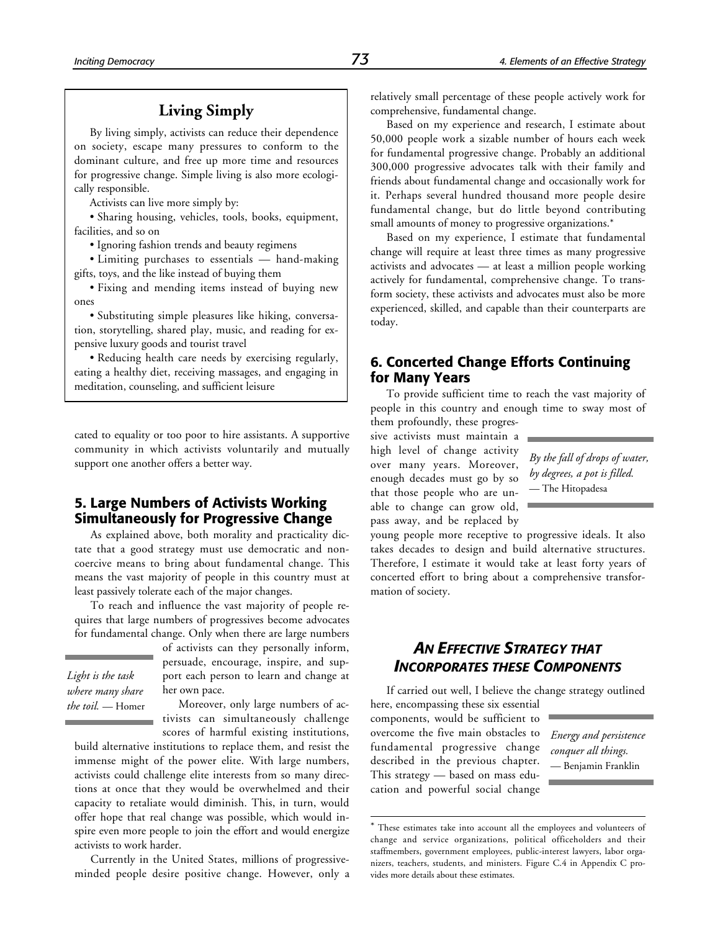# **Living Simply**

By living simply, activists can reduce their dependence on society, escape many pressures to conform to the dominant culture, and free up more time and resources for progressive change. Simple living is also more ecologically responsible.

Activists can live more simply by:

• Sharing housing, vehicles, tools, books, equipment, facilities, and so on

• Ignoring fashion trends and beauty regimens

• Limiting purchases to essentials — hand-making gifts, toys, and the like instead of buying them

• Fixing and mending items instead of buying new ones

• Substituting simple pleasures like hiking, conversation, storytelling, shared play, music, and reading for expensive luxury goods and tourist travel

• Reducing health care needs by exercising regularly, eating a healthy diet, receiving massages, and engaging in meditation, counseling, and sufficient leisure

cated to equality or too poor to hire assistants. A supportive community in which activists voluntarily and mutually support one another offers a better way.

# **5. Large Numbers of Activists Working Simultaneously for Progressive Change**

As explained above, both morality and practicality dictate that a good strategy must use democratic and noncoercive means to bring about fundamental change. This means the vast majority of people in this country must at least passively tolerate each of the major changes.

To reach and influence the vast majority of people requires that large numbers of progressives become advocates for fundamental change. Only when there are large numbers

*Light is the task where many share the toil.* — Homer of activists can they personally inform, persuade, encourage, inspire, and support each person to learn and change at her own pace.

Moreover, only large numbers of activists can simultaneously challenge scores of harmful existing institutions,

build alternative institutions to replace them, and resist the immense might of the power elite. With large numbers, activists could challenge elite interests from so many directions at once that they would be overwhelmed and their capacity to retaliate would diminish. This, in turn, would offer hope that real change was possible, which would inspire even more people to join the effort and would energize activists to work harder.

Currently in the United States, millions of progressiveminded people desire positive change. However, only a relatively small percentage of these people actively work for comprehensive, fundamental change.

Based on my experience and research, I estimate about 50,000 people work a sizable number of hours each week for fundamental progressive change. Probably an additional 300,000 progressive advocates talk with their family and friends about fundamental change and occasionally work for it. Perhaps several hundred thousand more people desire fundamental change, but do little beyond contributing small amounts of money to progressive organizations.\*

Based on my experience, I estimate that fundamental change will require at least three times as many progressive activists and advocates — at least a million people working actively for fundamental, comprehensive change. To transform society, these activists and advocates must also be more experienced, skilled, and capable than their counterparts are today.

# **6. Concerted Change Efforts Continuing for Many Years**

To provide sufficient time to reach the vast majority of people in this country and enough time to sway most of

them profoundly, these progressive activists must maintain a high level of change activity over many years. Moreover, enough decades must go by so that those people who are unable to change can grow old, pass away, and be replaced by

*By the fall of drops of water, by degrees, a pot is filled.* — The Hitopadesa

young people more receptive to progressive ideals. It also takes decades to design and build alternative structures. Therefore, I estimate it would take at least forty years of concerted effort to bring about a comprehensive transformation of society.

# *AN EFFECTIVE STRATEGY THAT INCORPORATES THESE COMPONENTS*

If carried out well, I believe the change strategy outlined

here, encompassing these six essential components, would be sufficient to overcome the five main obstacles to fundamental progressive change described in the previous chapter. This strategy — based on mass education and powerful social change

1

*Energy and persistence conquer all things.* — Benjamin Franklin

<sup>\*</sup> These estimates take into account all the employees and volunteers of change and service organizations, political officeholders and their staffmembers, government employees, public-interest lawyers, labor organizers, teachers, students, and ministers. Figure C.4 in Appendix C provides more details about these estimates.